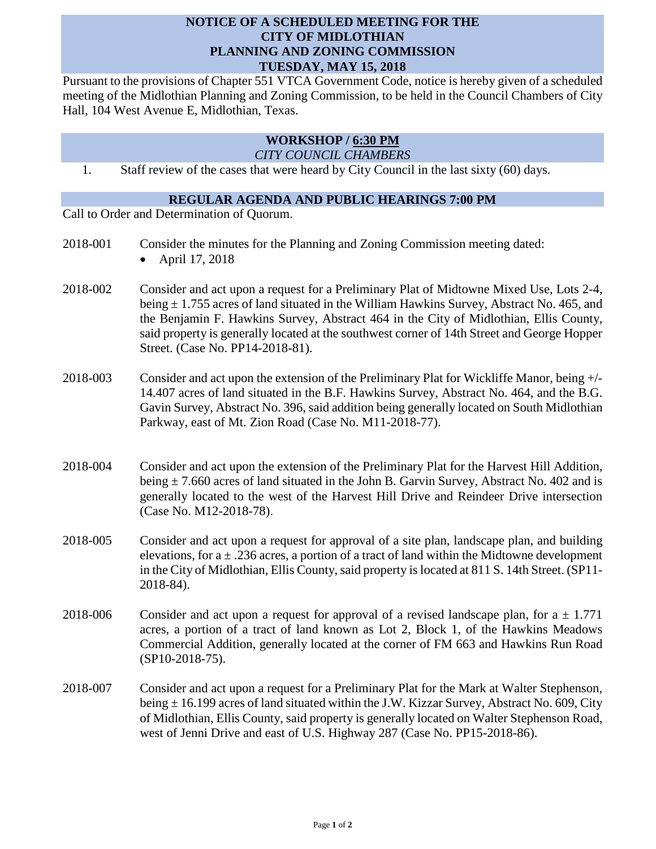## **NOTICE OF A SCHEDULED MEETING FOR THE CITY OF MIDLOTHIAN PLANNING AND ZONING COMMISSION TUESDAY, MAY 15, 2018**

Pursuant to the provisions of Chapter 551 VTCA Government Code, notice is hereby given of a scheduled meeting of the Midlothian Planning and Zoning Commission, to be held in the Council Chambers of City Hall, 104 West Avenue E, Midlothian, Texas.

## **WORKSHOP / 6:30 PM**

*CITY COUNCIL CHAMBERS*

1. Staff review of the cases that were heard by City Council in the last sixty (60) days.

## **REGULAR AGENDA AND PUBLIC HEARINGS 7:00 PM**

Call to Order and Determination of Quorum.

- 2018-001 Consider the minutes for the Planning and Zoning Commission meeting dated:
	- April 17, 2018
- 2018-002 Consider and act upon a request for a Preliminary Plat of Midtowne Mixed Use, Lots 2-4, being  $\pm$  1.755 acres of land situated in the William Hawkins Survey, Abstract No. 465, and the Benjamin F. Hawkins Survey, Abstract 464 in the City of Midlothian, Ellis County, said property is generally located at the southwest corner of 14th Street and George Hopper Street. (Case No. PP14-2018-81).
- 2018-003 Consider and act upon the extension of the Preliminary Plat for Wickliffe Manor, being +/- 14.407 acres of land situated in the B.F. Hawkins Survey, Abstract No. 464, and the B.G. Gavin Survey, Abstract No. 396, said addition being generally located on South Midlothian Parkway, east of Mt. Zion Road (Case No. M11-2018-77).
- 2018-004 Consider and act upon the extension of the Preliminary Plat for the Harvest Hill Addition, being  $\pm$  7.660 acres of land situated in the John B. Garvin Survey, Abstract No. 402 and is generally located to the west of the Harvest Hill Drive and Reindeer Drive intersection (Case No. M12-2018-78).
- 2018-005 Consider and act upon a request for approval of a site plan, landscape plan, and building elevations, for  $a \pm 0.236$  acres, a portion of a tract of land within the Midtowne development in the City of Midlothian, Ellis County, said property is located at 811 S. 14th Street. (SP11- 2018-84).
- 2018-006 Consider and act upon a request for approval of a revised landscape plan, for  $a \pm 1.771$ acres, a portion of a tract of land known as Lot 2, Block 1, of the Hawkins Meadows Commercial Addition, generally located at the corner of FM 663 and Hawkins Run Road (SP10-2018-75).
- 2018-007 Consider and act upon a request for a Preliminary Plat for the Mark at Walter Stephenson, being  $\pm$  16.199 acres of land situated within the J.W. Kizzar Survey, Abstract No. 609, City of Midlothian, Ellis County, said property is generally located on Walter Stephenson Road, west of Jenni Drive and east of U.S. Highway 287 (Case No. PP15-2018-86).